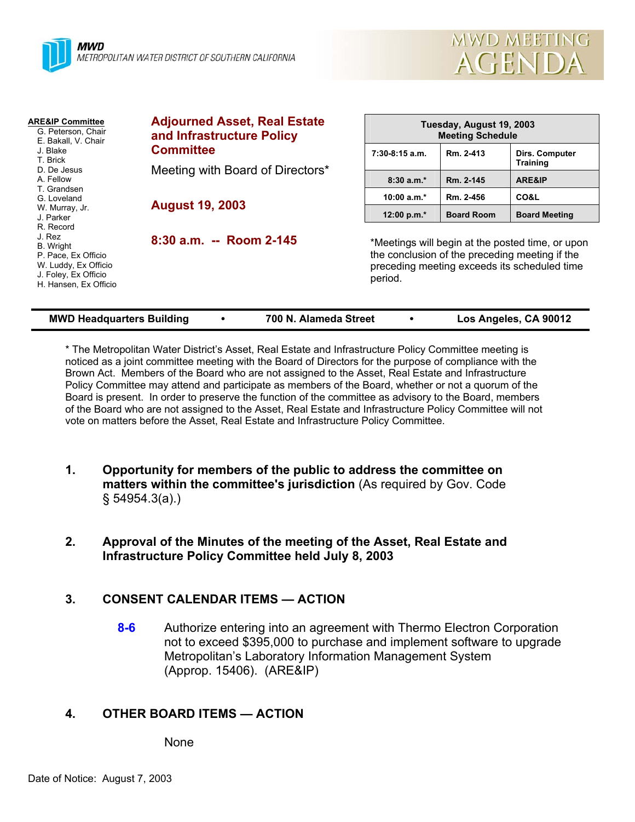



| <b>ARE&amp;IP Committee</b><br>G. Peterson, Chair<br>E. Bakall, V. Chair<br>J. Blake<br>T. Brick<br>D. De Jesus<br>A. Fellow<br>T. Grandsen                            | <b>Adjourned Asset, Real Estate</b><br>and Infrastructure Policy<br><b>Committee</b><br>Meeting with Board of Directors*<br><b>August 19, 2003</b> | Tuesday, August 19, 2003<br><b>Meeting Schedule</b> |                                                                                                                                                    |                                   |
|------------------------------------------------------------------------------------------------------------------------------------------------------------------------|----------------------------------------------------------------------------------------------------------------------------------------------------|-----------------------------------------------------|----------------------------------------------------------------------------------------------------------------------------------------------------|-----------------------------------|
|                                                                                                                                                                        |                                                                                                                                                    | $7:30-8:15$ a.m.                                    | Rm. 2-413                                                                                                                                          | Dirs. Computer<br><b>Training</b> |
|                                                                                                                                                                        |                                                                                                                                                    | $8:30a.m.*$                                         | Rm. 2-145                                                                                                                                          | <b>ARE&amp;IP</b>                 |
| G. Loveland                                                                                                                                                            |                                                                                                                                                    | 10:00 $a.m.*$                                       | Rm. 2-456                                                                                                                                          | CO&L                              |
| W. Murray, Jr.<br>J. Parker<br>R. Record<br>J. Rez<br><b>B.</b> Wright<br>P. Pace, Ex Officio<br>W. Luddy, Ex Officio<br>J. Foley, Ex Officio<br>H. Hansen, Ex Officio |                                                                                                                                                    | 12:00 p.m. $*$                                      | <b>Board Room</b>                                                                                                                                  | <b>Board Meeting</b>              |
|                                                                                                                                                                        | 8:30 a.m. -- Room 2-145                                                                                                                            | period.                                             | *Meetings will begin at the posted time, or upon<br>the conclusion of the preceding meeting if the<br>preceding meeting exceeds its scheduled time |                                   |
| <b>MWD Headquarters Building</b><br>700 N. Alameda Street<br>Los Angeles, CA 90012                                                                                     |                                                                                                                                                    |                                                     |                                                                                                                                                    |                                   |

\* The Metropolitan Water District's Asset, Real Estate and Infrastructure Policy Committee meeting is noticed as a joint committee meeting with the Board of Directors for the purpose of compliance with the Brown Act. Members of the Board who are not assigned to the Asset, Real Estate and Infrastructure Policy Committee may attend and participate as members of the Board, whether or not a quorum of the Board is present. In order to preserve the function of the committee as advisory to the Board, members of the Board who are not assigned to the Asset, Real Estate and Infrastructure Policy Committee will not vote on matters before the Asset, Real Estate and Infrastructure Policy Committee.

- **1. Opportunity for members of the public to address the committee on matters within the committee's jurisdiction** (As required by Gov. Code § 54954.3(a).)
- **2. Approval of the Minutes of the meeting of the Asset, Real Estate and Infrastructure Policy Committee held July 8, 2003**

# **3. CONSENT CALENDAR ITEMS — ACTION**

**8-6** Authorize entering into an agreement with Thermo Electron Corporation not to exceed \$395,000 to purchase and implement software to upgrade Metropolitan's Laboratory Information Management System (Approp. 15406). (ARE&IP)

# **4. OTHER BOARD ITEMS — ACTION**

None